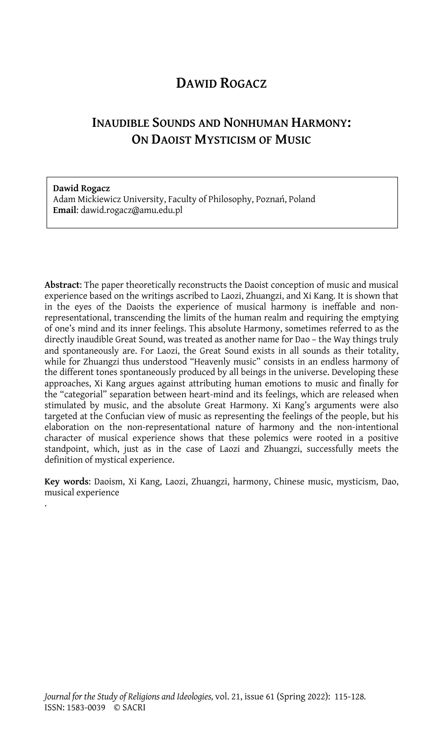## **DAWID ROGACZ**

# **INAUDIBLE SOUNDS AND NONHUMAN HARMONY: ON DAOIST MYSTICISM OF MUSIC**

**Dawid Rogacz** Adam Mickiewicz University, Faculty of Philosophy, Poznań, Poland **Email**: dawid.rogacz@amu.edu.pl

**Abstract**: The paper theoretically reconstructs the Daoist conception of music and musical experience based on the writings ascribed to Laozi, Zhuangzi, and Xi Kang. It is shown that in the eyes of the Daoists the experience of musical harmony is ineffable and nonrepresentational, transcending the limits of the human realm and requiring the emptying of one's mind and its inner feelings. This absolute Harmony, sometimes referred to as the directly inaudible Great Sound, was treated as another name for Dao – the Way things truly and spontaneously are. For Laozi, the Great Sound exists in all sounds as their totality, while for Zhuangzi thus understood "Heavenly music" consists in an endless harmony of the different tones spontaneously produced by all beings in the universe. Developing these approaches, Xi Kang argues against attributing human emotions to music and finally for the "categorial" separation between heart-mind and its feelings, which are released when stimulated by music, and the absolute Great Harmony. Xi Kang's arguments were also targeted at the Confucian view of music as representing the feelings of the people, but his elaboration on the non-representational nature of harmony and the non-intentional character of musical experience shows that these polemics were rooted in a positive standpoint, which, just as in the case of Laozi and Zhuangzi, successfully meets the definition of mystical experience.

**Key words**: Daoism, Xi Kang, Laozi, Zhuangzi, harmony, Chinese music, mysticism, Dao, musical experience

.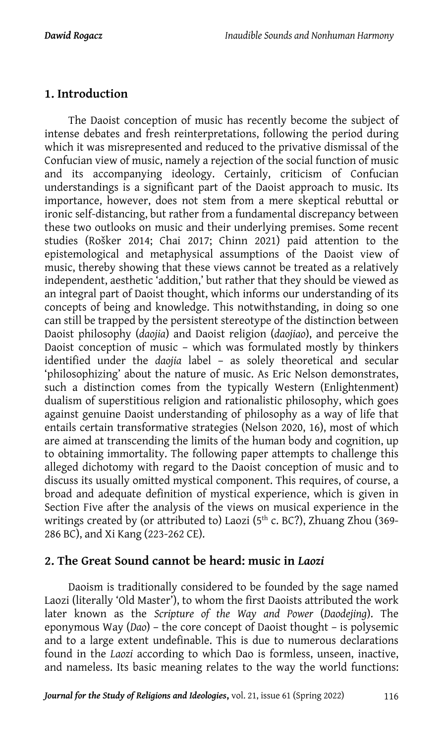## **1. Introduction**

The Daoist conception of music has recently become the subject of intense debates and fresh reinterpretations, following the period during which it was misrepresented and reduced to the privative dismissal of the Confucian view of music, namely a rejection of the social function of music and its accompanying ideology. Certainly, criticism of Confucian understandings is a significant part of the Daoist approach to music. Its importance, however, does not stem from a mere skeptical rebuttal or ironic self-distancing, but rather from a fundamental discrepancy between these two outlooks on music and their underlying premises. Some recent studies (Rošker 2014; Chai 2017; Chinn 2021) paid attention to the epistemological and metaphysical assumptions of the Daoist view of music, thereby showing that these views cannot be treated as a relatively independent, aesthetic 'addition,' but rather that they should be viewed as an integral part of Daoist thought, which informs our understanding of its concepts of being and knowledge. This notwithstanding, in doing so one can still be trapped by the persistent stereotype of the distinction between Daoist philosophy (*daojia*) and Daoist religion (*daojiao*), and perceive the Daoist conception of music – which was formulated mostly by thinkers identified under the *daojia* label – as solely theoretical and secular 'philosophizing' about the nature of music. As Eric Nelson demonstrates, such a distinction comes from the typically Western (Enlightenment) dualism of superstitious religion and rationalistic philosophy, which goes against genuine Daoist understanding of philosophy as a way of life that entails certain transformative strategies (Nelson 2020, 16), most of which are aimed at transcending the limits of the human body and cognition, up to obtaining immortality. The following paper attempts to challenge this alleged dichotomy with regard to the Daoist conception of music and to discuss its usually omitted mystical component. This requires, of course, a broad and adequate definition of mystical experience, which is given in Section Five after the analysis of the views on musical experience in the writings created by (or attributed to) Laozi (5<sup>th</sup> c. BC?), Zhuang Zhou (369-286 BC), and Xi Kang (223-262 CE).

### **2. The Great Sound cannot be heard: music in** *Laozi*

Daoism is traditionally considered to be founded by the sage named Laozi (literally 'Old Master'), to whom the first Daoists attributed the work later known as the *Scripture of the Way and Power* (*Daodejing*). The eponymous Way (*Dao*) – the core concept of Daoist thought – is polysemic and to a large extent undefinable. This is due to numerous declarations found in the *Laozi* according to which Dao is formless, unseen, inactive, and nameless. Its basic meaning relates to the way the world functions: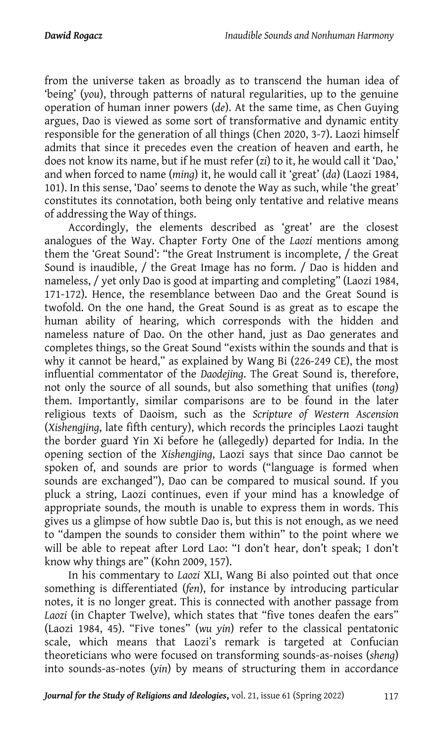from the universe taken as broadly as to transcend the human idea of 'being' (*you*), through patterns of natural regularities, up to the genuine operation of human inner powers (*de*). At the same time, as Chen Guying argues, Dao is viewed as some sort of transformative and dynamic entity responsible for the generation of all things (Chen 2020, 3-7). Laozi himself admits that since it precedes even the creation of heaven and earth, he does not know its name, but if he must refer (*zi*) to it, he would call it 'Dao,' and when forced to name (*ming*) it, he would call it 'great' (*da*) (Laozi 1984, 101). In this sense, 'Dao' seems to denote the Way as such, while 'the great' constitutes its connotation, both being only tentative and relative means of addressing the Way of things.

Accordingly, the elements described as 'great' are the closest analogues of the Way. Chapter Forty One of the *Laozi* mentions among them the 'Great Sound': "the Great Instrument is incomplete, / the Great Sound is inaudible, / the Great Image has no form. / Dao is hidden and nameless, / yet only Dao is good at imparting and completing" (Laozi 1984, 171-172). Hence, the resemblance between Dao and the Great Sound is twofold. On the one hand, the Great Sound is as great as to escape the human ability of hearing, which corresponds with the hidden and nameless nature of Dao. On the other hand, just as Dao generates and completes things, so the Great Sound "exists within the sounds and that is why it cannot be heard," as explained by Wang Bi (226-249 CE), the most influential commentator of the *Daodejing*. The Great Sound is, therefore, not only the source of all sounds, but also something that unifies (*tong*) them. Importantly, similar comparisons are to be found in the later religious texts of Daoism, such as the *Scripture of Western Ascension*  (*Xishengjing*, late fifth century), which records the principles Laozi taught the border guard Yin Xi before he (allegedly) departed for India. In the opening section of the *Xishengjing*, Laozi says that since Dao cannot be spoken of, and sounds are prior to words ("language is formed when sounds are exchanged"), Dao can be compared to musical sound. If you pluck a string, Laozi continues, even if your mind has a knowledge of appropriate sounds, the mouth is unable to express them in words. This gives us a glimpse of how subtle Dao is, but this is not enough, as we need to "dampen the sounds to consider them within" to the point where we will be able to repeat after Lord Lao: "I don't hear, don't speak; I don't know why things are" (Kohn 2009, 157).

In his commentary to *Laozi* XLI, Wang Bi also pointed out that once something is differentiated (*fen*), for instance by introducing particular notes, it is no longer great. This is connected with another passage from *Laozi* (in Chapter Twelve), which states that "five tones deafen the ears" (Laozi 1984, 45). "Five tones" (*wu yin*) refer to the classical pentatonic scale, which means that Laozi's remark is targeted at Confucian theoreticians who were focused on transforming sounds-as-noises (*sheng*) into sounds-as-notes (*yin*) by means of structuring them in accordance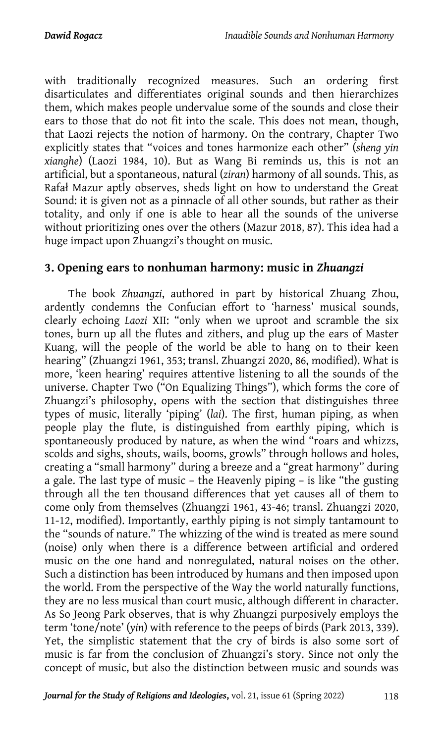with traditionally recognized measures. Such an ordering first disarticulates and differentiates original sounds and then hierarchizes them, which makes people undervalue some of the sounds and close their ears to those that do not fit into the scale. This does not mean, though, that Laozi rejects the notion of harmony. On the contrary, Chapter Two explicitly states that "voices and tones harmonize each other" (*sheng yin xianghe*) (Laozi 1984, 10). But as Wang Bi reminds us, this is not an artificial, but a spontaneous, natural (*ziran*) harmony of all sounds. This, as Rafał Mazur aptly observes, sheds light on how to understand the Great Sound: it is given not as a pinnacle of all other sounds, but rather as their totality, and only if one is able to hear all the sounds of the universe without prioritizing ones over the others (Mazur 2018, 87). This idea had a huge impact upon Zhuangzi's thought on music.

#### **3. Opening ears to nonhuman harmony: music in** *Zhuangzi*

The book *Zhuangzi*, authored in part by historical Zhuang Zhou, ardently condemns the Confucian effort to 'harness' musical sounds, clearly echoing *Laozi* XII: "only when we uproot and scramble the six tones, burn up all the flutes and zithers, and plug up the ears of Master Kuang, will the people of the world be able to hang on to their keen hearing" (Zhuangzi 1961, 353; transl. Zhuangzi 2020, 86, modified). What is more, 'keen hearing' requires attentive listening to all the sounds of the universe. Chapter Two ("On Equalizing Things"), which forms the core of Zhuangzi's philosophy, opens with the section that distinguishes three types of music, literally 'piping' (*lai*). The first, human piping, as when people play the flute, is distinguished from earthly piping, which is spontaneously produced by nature, as when the wind "roars and whizzs, scolds and sighs, shouts, wails, booms, growls" through hollows and holes, creating a "small harmony" during a breeze and a "great harmony" during a gale. The last type of music – the Heavenly piping – is like "the gusting through all the ten thousand differences that yet causes all of them to come only from themselves (Zhuangzi 1961, 43-46; transl. Zhuangzi 2020, 11-12, modified). Importantly, earthly piping is not simply tantamount to the "sounds of nature." The whizzing of the wind is treated as mere sound (noise) only when there is a difference between artificial and ordered music on the one hand and nonregulated, natural noises on the other. Such a distinction has been introduced by humans and then imposed upon the world. From the perspective of the Way the world naturally functions, they are no less musical than court music, although different in character. As So Jeong Park observes, that is why Zhuangzi purposively employs the term 'tone/note' (*yin*) with reference to the peeps of birds (Park 2013, 339). Yet, the simplistic statement that the cry of birds is also some sort of music is far from the conclusion of Zhuangzi's story. Since not only the concept of music, but also the distinction between music and sounds was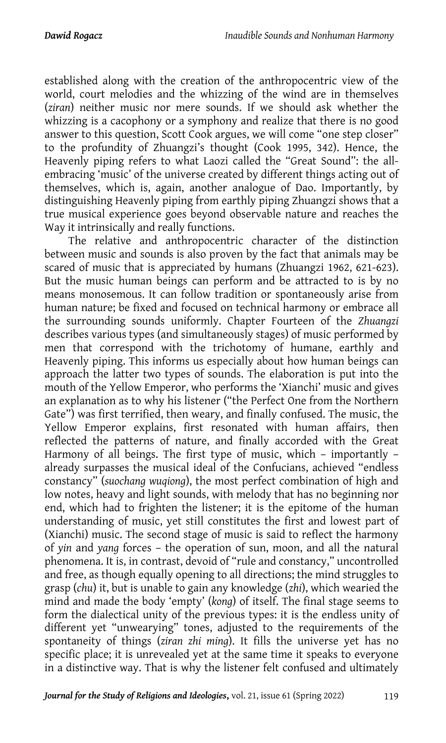established along with the creation of the anthropocentric view of the world, court melodies and the whizzing of the wind are in themselves (*ziran*) neither music nor mere sounds. If we should ask whether the whizzing is a cacophony or a symphony and realize that there is no good answer to this question, Scott Cook argues, we will come "one step closer" to the profundity of Zhuangzi's thought (Cook 1995, 342). Hence, the Heavenly piping refers to what Laozi called the "Great Sound": the allembracing 'music' of the universe created by different things acting out of themselves, which is, again, another analogue of Dao. Importantly, by distinguishing Heavenly piping from earthly piping Zhuangzi shows that a true musical experience goes beyond observable nature and reaches the Way it intrinsically and really functions.

The relative and anthropocentric character of the distinction between music and sounds is also proven by the fact that animals may be scared of music that is appreciated by humans (Zhuangzi 1962, 621-623). But the music human beings can perform and be attracted to is by no means monosemous. It can follow tradition or spontaneously arise from human nature; be fixed and focused on technical harmony or embrace all the surrounding sounds uniformly. Chapter Fourteen of the *Zhuangzi* describes various types (and simultaneously stages) of music performed by men that correspond with the trichotomy of humane, earthly and Heavenly piping. This informs us especially about how human beings can approach the latter two types of sounds. The elaboration is put into the mouth of the Yellow Emperor, who performs the 'Xianchi' music and gives an explanation as to why his listener ("the Perfect One from the Northern Gate") was first terrified, then weary, and finally confused. The music, the Yellow Emperor explains, first resonated with human affairs, then reflected the patterns of nature, and finally accorded with the Great Harmony of all beings. The first type of music, which – importantly – already surpasses the musical ideal of the Confucians, achieved "endless constancy" (*suochang wuqiong*), the most perfect combination of high and low notes, heavy and light sounds, with melody that has no beginning nor end, which had to frighten the listener; it is the epitome of the human understanding of music, yet still constitutes the first and lowest part of (Xianchi) music. The second stage of music is said to reflect the harmony of *yin* and *yang* forces – the operation of sun, moon, and all the natural phenomena. It is, in contrast, devoid of "rule and constancy," uncontrolled and free, as though equally opening to all directions; the mind struggles to grasp (*chu*) it, but is unable to gain any knowledge (*zhi*), which wearied the mind and made the body 'empty' (*kong*) of itself. The final stage seems to form the dialectical unity of the previous types: it is the endless unity of different yet "unwearying" tones, adjusted to the requirements of the spontaneity of things (*ziran zhi ming*). It fills the universe yet has no specific place; it is unrevealed yet at the same time it speaks to everyone in a distinctive way. That is why the listener felt confused and ultimately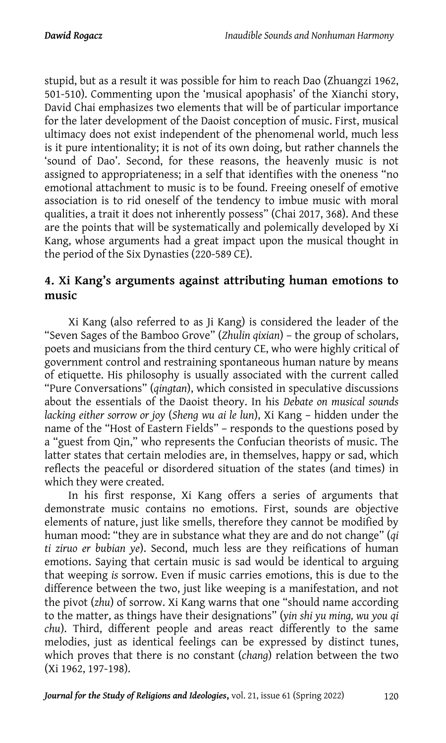stupid, but as a result it was possible for him to reach Dao (Zhuangzi 1962, 501-510). Commenting upon the 'musical apophasis' of the Xianchi story, David Chai emphasizes two elements that will be of particular importance for the later development of the Daoist conception of music. First, musical ultimacy does not exist independent of the phenomenal world, much less is it pure intentionality; it is not of its own doing, but rather channels the 'sound of Dao'. Second, for these reasons, the heavenly music is not assigned to appropriateness; in a self that identifies with the oneness "no emotional attachment to music is to be found. Freeing oneself of emotive association is to rid oneself of the tendency to imbue music with moral qualities, a trait it does not inherently possess" (Chai 2017, 368). And these are the points that will be systematically and polemically developed by Xi Kang, whose arguments had a great impact upon the musical thought in the period of the Six Dynasties (220-589 CE).

## **4. Xi Kang's arguments against attributing human emotions to music**

Xi Kang (also referred to as Ji Kang) is considered the leader of the "Seven Sages of the Bamboo Grove" (*Zhulin qixian*) – the group of scholars, poets and musicians from the third century CE, who were highly critical of government control and restraining spontaneous human nature by means of etiquette. His philosophy is usually associated with the current called "Pure Conversations" (*qingtan*), which consisted in speculative discussions about the essentials of the Daoist theory. In his *Debate on musical sounds lacking either sorrow or joy* (*Sheng wu ai le lun*), Xi Kang – hidden under the name of the "Host of Eastern Fields" – responds to the questions posed by a "guest from Qin," who represents the Confucian theorists of music. The latter states that certain melodies are, in themselves, happy or sad, which reflects the peaceful or disordered situation of the states (and times) in which they were created.

In his first response, Xi Kang offers a series of arguments that demonstrate music contains no emotions. First, sounds are objective elements of nature, just like smells, therefore they cannot be modified by human mood: "they are in substance what they are and do not change" (*qi ti ziruo er bubian ye*). Second, much less are they reifications of human emotions. Saying that certain music is sad would be identical to arguing that weeping *is* sorrow. Even if music carries emotions, this is due to the difference between the two, just like weeping is a manifestation, and not the pivot (*zhu*) of sorrow. Xi Kang warns that one "should name according to the matter, as things have their designations" (*yin shi yu ming, wu you qi chu*). Third, different people and areas react differently to the same melodies, just as identical feelings can be expressed by distinct tunes, which proves that there is no constant (*chang*) relation between the two (Xi 1962, 197-198).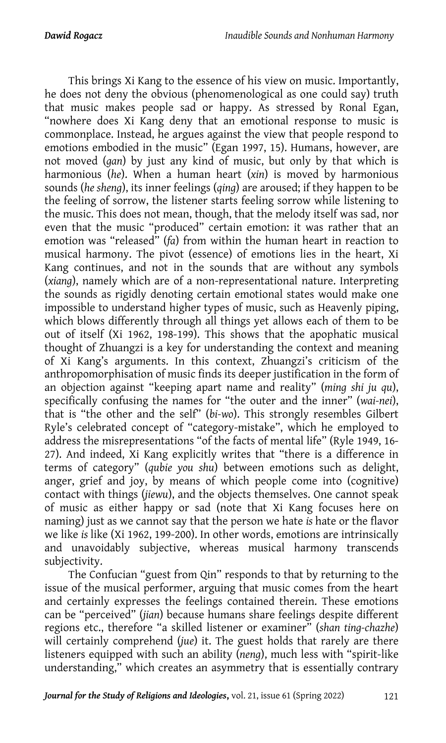This brings Xi Kang to the essence of his view on music. Importantly, he does not deny the obvious (phenomenological as one could say) truth that music makes people sad or happy. As stressed by Ronal Egan, "nowhere does Xi Kang deny that an emotional response to music is commonplace. Instead, he argues against the view that people respond to emotions embodied in the music" (Egan 1997, 15). Humans, however, are not moved (*gan*) by just any kind of music, but only by that which is harmonious (*he*). When a human heart (*xin*) is moved by harmonious sounds (*he sheng*), its inner feelings (*qing*) are aroused; if they happen to be the feeling of sorrow, the listener starts feeling sorrow while listening to the music. This does not mean, though, that the melody itself was sad, nor even that the music "produced" certain emotion: it was rather that an emotion was "released" (*fa*) from within the human heart in reaction to musical harmony. The pivot (essence) of emotions lies in the heart, Xi Kang continues, and not in the sounds that are without any symbols (*xiang*), namely which are of a non-representational nature. Interpreting the sounds as rigidly denoting certain emotional states would make one impossible to understand higher types of music, such as Heavenly piping, which blows differently through all things yet allows each of them to be out of itself (Xi 1962, 198-199). This shows that the apophatic musical thought of Zhuangzi is a key for understanding the context and meaning of Xi Kang's arguments. In this context, Zhuangzi's criticism of the anthropomorphisation of music finds its deeper justification in the form of an objection against "keeping apart name and reality" (*ming shi ju qu*), specifically confusing the names for "the outer and the inner" (*wai-nei*), that is "the other and the self" (*bi-wo*). This strongly resembles Gilbert Ryle's celebrated concept of "category-mistake", which he employed to address the misrepresentations "of the facts of mental life" (Ryle 1949, 16- 27). And indeed, Xi Kang explicitly writes that "there is a difference in terms of category" (*qubie you shu*) between emotions such as delight, anger, grief and joy, by means of which people come into (cognitive) contact with things (*jiewu*), and the objects themselves. One cannot speak of music as either happy or sad (note that Xi Kang focuses here on naming) just as we cannot say that the person we hate *is* hate or the flavor we like *is* like (Xi 1962, 199-200). In other words, emotions are intrinsically and unavoidably subjective, whereas musical harmony transcends subjectivity.

The Confucian "guest from Qin" responds to that by returning to the issue of the musical performer, arguing that music comes from the heart and certainly expresses the feelings contained therein. These emotions can be "perceived" (*jian*) because humans share feelings despite different regions etc., therefore "a skilled listener or examiner" (*shan ting-chazhe*) will certainly comprehend (*jue*) it. The guest holds that rarely are there listeners equipped with such an ability (*neng*), much less with "spirit-like understanding," which creates an asymmetry that is essentially contrary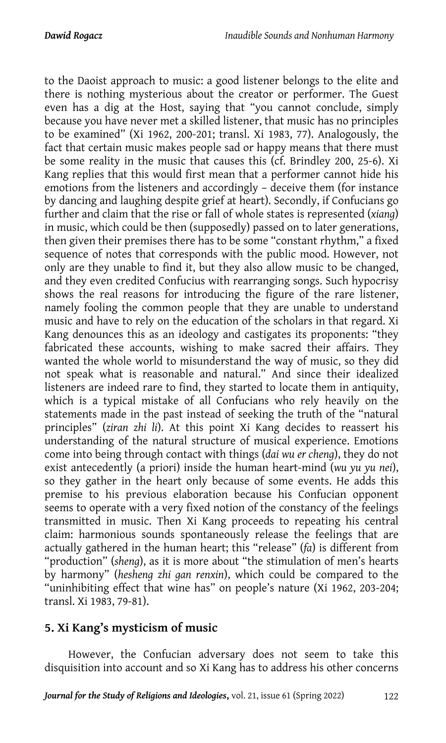to the Daoist approach to music: a good listener belongs to the elite and there is nothing mysterious about the creator or performer. The Guest even has a dig at the Host, saying that "you cannot conclude, simply because you have never met a skilled listener, that music has no principles to be examined" (Xi 1962, 200-201; transl. Xi 1983, 77). Analogously, the fact that certain music makes people sad or happy means that there must be some reality in the music that causes this (cf. Brindley 200, 25-6). Xi Kang replies that this would first mean that a performer cannot hide his emotions from the listeners and accordingly – deceive them (for instance by dancing and laughing despite grief at heart). Secondly, if Confucians go further and claim that the rise or fall of whole states is represented (*xiang*) in music, which could be then (supposedly) passed on to later generations, then given their premises there has to be some "constant rhythm," a fixed sequence of notes that corresponds with the public mood. However, not only are they unable to find it, but they also allow music to be changed, and they even credited Confucius with rearranging songs. Such hypocrisy shows the real reasons for introducing the figure of the rare listener, namely fooling the common people that they are unable to understand music and have to rely on the education of the scholars in that regard. Xi Kang denounces this as an ideology and castigates its proponents: "they fabricated these accounts, wishing to make sacred their affairs. They wanted the whole world to misunderstand the way of music, so they did not speak what is reasonable and natural." And since their idealized listeners are indeed rare to find, they started to locate them in antiquity, which is a typical mistake of all Confucians who rely heavily on the statements made in the past instead of seeking the truth of the "natural principles" (*ziran zhi li*). At this point Xi Kang decides to reassert his understanding of the natural structure of musical experience. Emotions come into being through contact with things (*dai wu er cheng*), they do not exist antecedently (a priori) inside the human heart-mind (*wu yu yu nei*), so they gather in the heart only because of some events. He adds this premise to his previous elaboration because his Confucian opponent seems to operate with a very fixed notion of the constancy of the feelings transmitted in music. Then Xi Kang proceeds to repeating his central claim: harmonious sounds spontaneously release the feelings that are actually gathered in the human heart; this "release" (*fa*) is different from "production" (*sheng*), as it is more about "the stimulation of men's hearts by harmony" (*hesheng zhi gan renxin*), which could be compared to the "uninhibiting effect that wine has" on people's nature (Xi 1962, 203-204; transl. Xi 1983, 79-81).

## **5. Xi Kang's mysticism of music**

However, the Confucian adversary does not seem to take this disquisition into account and so Xi Kang has to address his other concerns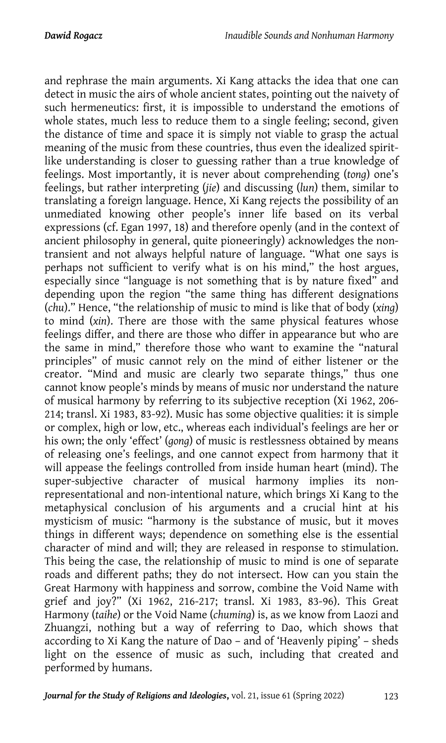and rephrase the main arguments. Xi Kang attacks the idea that one can detect in music the airs of whole ancient states, pointing out the naivety of such hermeneutics: first, it is impossible to understand the emotions of whole states, much less to reduce them to a single feeling; second, given the distance of time and space it is simply not viable to grasp the actual meaning of the music from these countries, thus even the idealized spiritlike understanding is closer to guessing rather than a true knowledge of feelings. Most importantly, it is never about comprehending (*tong*) one's feelings, but rather interpreting (*jie*) and discussing (*lun*) them, similar to translating a foreign language. Hence, Xi Kang rejects the possibility of an unmediated knowing other people's inner life based on its verbal expressions (cf. Egan 1997, 18) and therefore openly (and in the context of ancient philosophy in general, quite pioneeringly) acknowledges the nontransient and not always helpful nature of language. "What one says is perhaps not sufficient to verify what is on his mind," the host argues, especially since "language is not something that is by nature fixed" and depending upon the region "the same thing has different designations (*chu*)." Hence, "the relationship of music to mind is like that of body (*xing*) to mind (*xin*). There are those with the same physical features whose feelings differ, and there are those who differ in appearance but who are the same in mind," therefore those who want to examine the "natural principles" of music cannot rely on the mind of either listener or the creator. "Mind and music are clearly two separate things," thus one cannot know people's minds by means of music nor understand the nature of musical harmony by referring to its subjective reception (Xi 1962, 206- 214; transl. Xi 1983, 83-92). Music has some objective qualities: it is simple or complex, high or low, etc., whereas each individual's feelings are her or his own; the only 'effect' (*gong*) of music is restlessness obtained by means of releasing one's feelings, and one cannot expect from harmony that it will appease the feelings controlled from inside human heart (mind). The super-subjective character of musical harmony implies its nonrepresentational and non-intentional nature, which brings Xi Kang to the metaphysical conclusion of his arguments and a crucial hint at his mysticism of music: "harmony is the substance of music, but it moves things in different ways; dependence on something else is the essential character of mind and will; they are released in response to stimulation. This being the case, the relationship of music to mind is one of separate roads and different paths; they do not intersect. How can you stain the Great Harmony with happiness and sorrow, combine the Void Name with grief and joy?" (Xi 1962, 216-217; transl. Xi 1983, 83-96). This Great Harmony (*taihe*) or the Void Name (*chuming*) is, as we know from Laozi and Zhuangzi, nothing but a way of referring to Dao, which shows that according to Xi Kang the nature of Dao – and of 'Heavenly piping' – sheds light on the essence of music as such, including that created and performed by humans.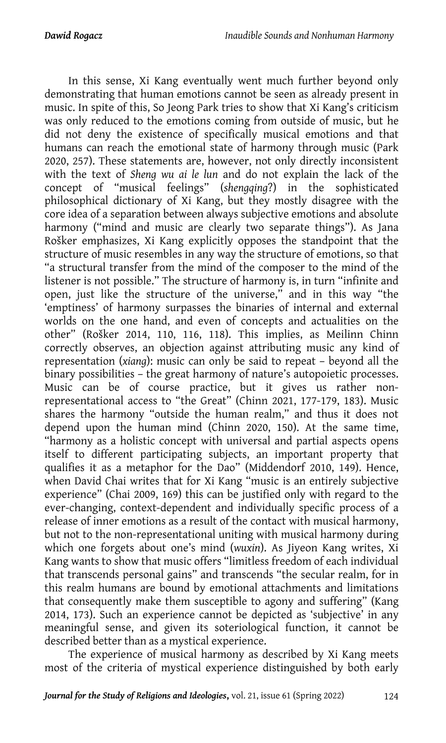In this sense, Xi Kang eventually went much further beyond only demonstrating that human emotions cannot be seen as already present in music. In spite of this, So Jeong Park tries to show that Xi Kang's criticism was only reduced to the emotions coming from outside of music, but he did not deny the existence of specifically musical emotions and that humans can reach the emotional state of harmony through music (Park 2020, 257). These statements are, however, not only directly inconsistent with the text of *Sheng wu ai le lun* and do not explain the lack of the concept of "musical feelings" (*shengqing*?) in the sophisticated philosophical dictionary of Xi Kang, but they mostly disagree with the core idea of a separation between always subjective emotions and absolute harmony ("mind and music are clearly two separate things"). As Jana Rošker emphasizes, Xi Kang explicitly opposes the standpoint that the structure of music resembles in any way the structure of emotions, so that "a structural transfer from the mind of the composer to the mind of the listener is not possible." The structure of harmony is, in turn "infinite and open, just like the structure of the universe," and in this way "the 'emptiness' of harmony surpasses the binaries of internal and external worlds on the one hand, and even of concepts and actualities on the other" (Rošker 2014, 110, 116, 118). This implies, as Meilinn Chinn correctly observes, an objection against attributing music any kind of representation (*xiang*): music can only be said to repeat – beyond all the binary possibilities – the great harmony of nature's autopoietic processes. Music can be of course practice, but it gives us rather nonrepresentational access to "the Great" (Chinn 2021, 177-179, 183). Music shares the harmony "outside the human realm," and thus it does not depend upon the human mind (Chinn 2020, 150). At the same time, "harmony as a holistic concept with universal and partial aspects opens itself to different participating subjects, an important property that qualifies it as a metaphor for the Dao" (Middendorf 2010, 149). Hence, when David Chai writes that for Xi Kang "music is an entirely subjective experience" (Chai 2009, 169) this can be justified only with regard to the ever-changing, context-dependent and individually specific process of a release of inner emotions as a result of the contact with musical harmony, but not to the non-representational uniting with musical harmony during which one forgets about one's mind (*wuxin*). As Jiyeon Kang writes, Xi Kang wants to show that music offers "limitless freedom of each individual that transcends personal gains" and transcends "the secular realm, for in this realm humans are bound by emotional attachments and limitations that consequently make them susceptible to agony and suffering" (Kang 2014, 173). Such an experience cannot be depicted as 'subjective' in any meaningful sense, and given its soteriological function, it cannot be described better than as a mystical experience.

The experience of musical harmony as described by Xi Kang meets most of the criteria of mystical experience distinguished by both early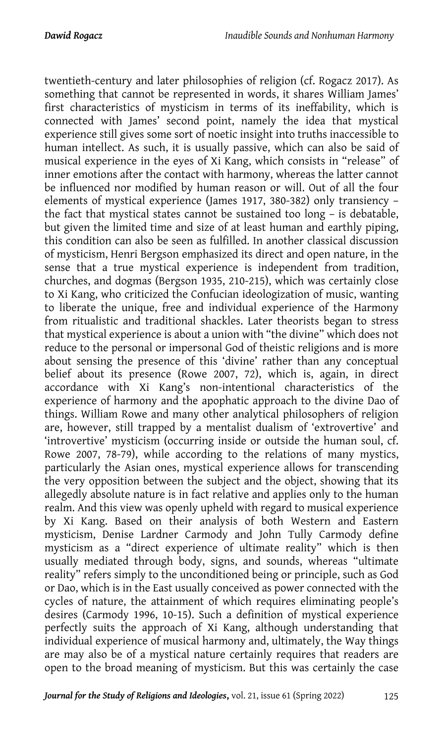twentieth-century and later philosophies of religion (cf. Rogacz 2017). As something that cannot be represented in words, it shares William James' first characteristics of mysticism in terms of its ineffability, which is connected with James' second point, namely the idea that mystical experience still gives some sort of noetic insight into truths inaccessible to human intellect. As such, it is usually passive, which can also be said of musical experience in the eyes of Xi Kang, which consists in "release" of inner emotions after the contact with harmony, whereas the latter cannot be influenced nor modified by human reason or will. Out of all the four elements of mystical experience (James 1917, 380-382) only transiency – the fact that mystical states cannot be sustained too long – is debatable, but given the limited time and size of at least human and earthly piping, this condition can also be seen as fulfilled. In another classical discussion of mysticism, Henri Bergson emphasized its direct and open nature, in the sense that a true mystical experience is independent from tradition, churches, and dogmas (Bergson 1935, 210-215), which was certainly close to Xi Kang, who criticized the Confucian ideologization of music, wanting to liberate the unique, free and individual experience of the Harmony from ritualistic and traditional shackles. Later theorists began to stress that mystical experience is about a union with "the divine" which does not reduce to the personal or impersonal God of theistic religions and is more about sensing the presence of this 'divine' rather than any conceptual belief about its presence (Rowe 2007, 72), which is, again, in direct accordance with Xi Kang's non-intentional characteristics of the experience of harmony and the apophatic approach to the divine Dao of things. William Rowe and many other analytical philosophers of religion are, however, still trapped by a mentalist dualism of 'extrovertive' and 'introvertive' mysticism (occurring inside or outside the human soul, cf. Rowe 2007, 78-79), while according to the relations of many mystics, particularly the Asian ones, mystical experience allows for transcending the very opposition between the subject and the object, showing that its allegedly absolute nature is in fact relative and applies only to the human realm. And this view was openly upheld with regard to musical experience by Xi Kang. Based on their analysis of both Western and Eastern mysticism, Denise Lardner Carmody and John Tully Carmody define mysticism as a "direct experience of ultimate reality" which is then usually mediated through body, signs, and sounds, whereas "ultimate reality" refers simply to the unconditioned being or principle, such as God or Dao, which is in the East usually conceived as power connected with the cycles of nature, the attainment of which requires eliminating people's desires (Carmody 1996, 10-15). Such a definition of mystical experience perfectly suits the approach of Xi Kang, although understanding that individual experience of musical harmony and, ultimately, the Way things are may also be of a mystical nature certainly requires that readers are open to the broad meaning of mysticism. But this was certainly the case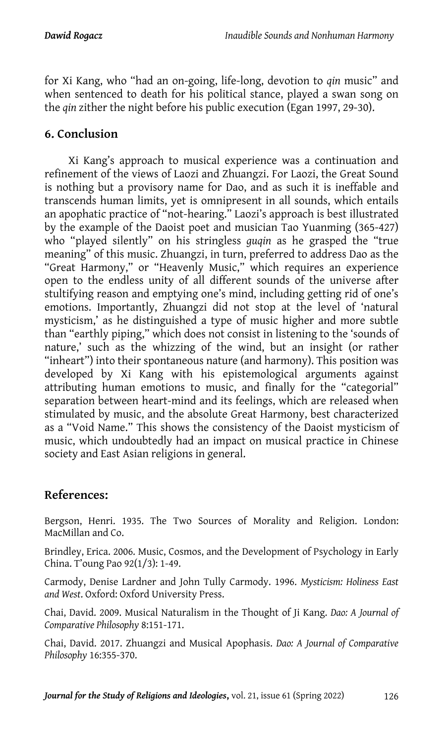for Xi Kang, who "had an on-going, life-long, devotion to *qin* music" and when sentenced to death for his political stance, played a swan song on the *qin* zither the night before his public execution (Egan 1997, 29-30).

## **6. Conclusion**

Xi Kang's approach to musical experience was a continuation and refinement of the views of Laozi and Zhuangzi. For Laozi, the Great Sound is nothing but a provisory name for Dao, and as such it is ineffable and transcends human limits, yet is omnipresent in all sounds, which entails an apophatic practice of "not-hearing." Laozi's approach is best illustrated by the example of the Daoist poet and musician Tao Yuanming (365-427) who "played silently" on his stringless *guqin* as he grasped the "true meaning" of this music. Zhuangzi, in turn, preferred to address Dao as the "Great Harmony," or "Heavenly Music," which requires an experience open to the endless unity of all different sounds of the universe after stultifying reason and emptying one's mind, including getting rid of one's emotions. Importantly, Zhuangzi did not stop at the level of 'natural mysticism,' as he distinguished a type of music higher and more subtle than "earthly piping," which does not consist in listening to the 'sounds of nature,' such as the whizzing of the wind, but an insight (or rather "inheart") into their spontaneous nature (and harmony). This position was developed by Xi Kang with his epistemological arguments against attributing human emotions to music, and finally for the "categorial" separation between heart-mind and its feelings, which are released when stimulated by music, and the absolute Great Harmony, best characterized as a "Void Name." This shows the consistency of the Daoist mysticism of music, which undoubtedly had an impact on musical practice in Chinese society and East Asian religions in general.

## **References:**

Bergson, Henri. 1935. The Two Sources of Morality and Religion. London: MacMillan and Co.

Brindley, Erica. 2006. Music, Cosmos, and the Development of Psychology in Early China. T'oung Pao 92(1/3): 1-49.

Carmody, Denise Lardner and John Tully Carmody. 1996. *Mysticism: Holiness East and West*. Oxford: Oxford University Press.

Chai, David. 2009. Musical Naturalism in the Thought of Ji Kang. *Dao: A Journal of Comparative Philosophy* 8:151-171.

Chai, David. 2017. Zhuangzi and Musical Apophasis. *Dao: A Journal of Comparative Philosophy* 16:355-370.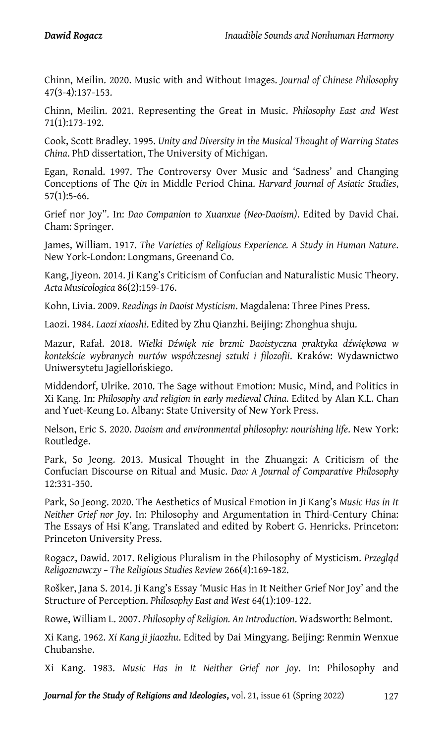Chinn, Meilin. 2020. Music with and Without Images. *Journal of Chinese Philosoph*y 47(3-4):137-153.

Chinn, Meilin. 2021. Representing the Great in Music. *Philosophy East and West* 71(1):173-192.

Cook, Scott Bradley. 1995. *Unity and Diversity in the Musical Thought of Warring States China*. PhD dissertation, The University of Michigan.

Egan, Ronald. 1997. The Controversy Over Music and 'Sadness' and Changing Conceptions of The *Qin* in Middle Period China. *Harvard Journal of Asiatic Studies*, 57(1):5-66.

Grief nor Joy". In: *Dao Companion to Xuanxue (Neo-Daoism)*. Edited by David Chai. Cham: Springer.

James, William. 1917. *The Varieties of Religious Experience. A Study in Human Nature*. New York-London: Longmans, Greenand Co.

Kang, Jiyeon. 2014. Ji Kang's Criticism of Confucian and Naturalistic Music Theory. *Acta Musicologica* 86(2):159-176.

Kohn, Livia. 2009. *Readings in Daoist Mysticism*. Magdalena: Three Pines Press.

Laozi. 1984. *Laozi xiaoshi*. Edited by Zhu Qianzhi. Beijing: Zhonghua shuju.

Mazur, Rafał. 2018. *Wielki Dźwięk nie brzmi: Daoistyczna praktyka dźwiękowa w kontekście wybranych nurtów współczesnej sztuki i filozofii*. Kraków: Wydawnictwo Uniwersytetu Jagiellońskiego.

Middendorf, Ulrike. 2010. The Sage without Emotion: Music, Mind, and Politics in Xi Kang. In: *Philosophy and religion in early medieval China*. Edited by Alan K.L. Chan and Yuet-Keung Lo. Albany: State University of New York Press.

Nelson, Eric S. 2020. *Daoism and environmental philosophy: nourishing life*. New York: Routledge.

Park, So Jeong. 2013. Musical Thought in the Zhuangzi: A Criticism of the Confucian Discourse on Ritual and Music. *Dao: A Journal of Comparative Philosophy* 12:331-350.

Park, So Jeong. 2020. The Aesthetics of Musical Emotion in Ji Kang's *Music Has in It Neither Grief nor Joy*. In: Philosophy and Argumentation in Third-Century China: The Essays of Hsi K'ang. Translated and edited by Robert G. Henricks. Princeton: Princeton University Press.

Rogacz, Dawid. 2017. Religious Pluralism in the Philosophy of Mysticism. *Przegląd Religoznawczy – The Religious Studies Review* 266(4):169-182.

Rošker, Jana S. 2014. Ji Kang's Essay 'Music Has in It Neither Grief Nor Joy' and the Structure of Perception. *Philosophy East and West* 64(1):109-122.

Rowe, William L. 2007. *Philosophy of Religion. An Introduction*. Wadsworth: Belmont.

Xi Kang. 1962. *Xi Kang ji jiaozhu*. Edited by Dai Mingyang. Beijing: Renmin Wenxue Chubanshe.

Xi Kang. 1983. *Music Has in It Neither Grief nor Joy*. In: Philosophy and

*Journal for the Study of Religions and Ideologies*, vol. 21, issue 61 (Spring 2022) 127